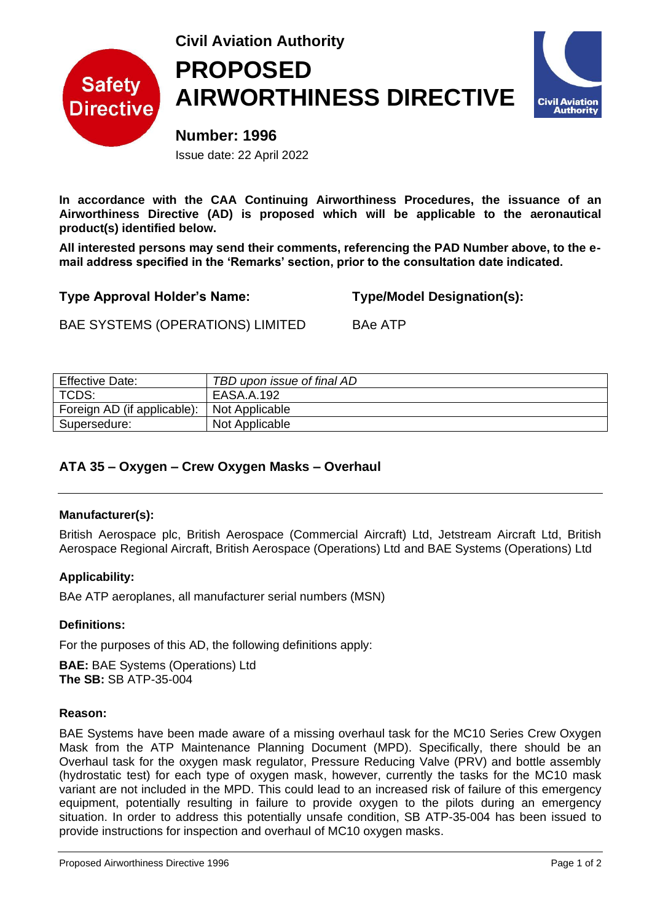

# **Civil Aviation Authority PROPOSED AIRWORTHINESS DIRECTIVE**



**Number: 1996** Issue date: 22 April 2022

**In accordance with the CAA Continuing Airworthiness Procedures, the issuance of an Airworthiness Directive (AD) is proposed which will be applicable to the aeronautical product(s) identified below.** 

**All interested persons may send their comments, referencing the PAD Number above, to the email address specified in the 'Remarks' section, prior to the consultation date indicated.**

**Type Approval Holder's Name: Type/Model Designation(s):**

BAE SYSTEMS (OPERATIONS) LIMITED BAe ATP

| <b>Effective Date:</b>      | TBD upon issue of final AD |
|-----------------------------|----------------------------|
| TCDS:                       | EASA.A.192                 |
| Foreign AD (if applicable): | Not Applicable             |
| Supersedure:                | Not Applicable             |

# **ATA 35 – Oxygen – Crew Oxygen Masks – Overhaul**

#### **Manufacturer(s):**

British Aerospace plc, British Aerospace (Commercial Aircraft) Ltd, Jetstream Aircraft Ltd, British Aerospace Regional Aircraft, British Aerospace (Operations) Ltd and BAE Systems (Operations) Ltd

#### **Applicability:**

BAe ATP aeroplanes, all manufacturer serial numbers (MSN)

#### **Definitions:**

For the purposes of this AD, the following definitions apply:

**BAE:** BAE Systems (Operations) Ltd **The SB:** SB ATP-35-004

#### **Reason:**

BAE Systems have been made aware of a missing overhaul task for the MC10 Series Crew Oxygen Mask from the ATP Maintenance Planning Document (MPD). Specifically, there should be an Overhaul task for the oxygen mask regulator, Pressure Reducing Valve (PRV) and bottle assembly (hydrostatic test) for each type of oxygen mask, however, currently the tasks for the MC10 mask variant are not included in the MPD. This could lead to an increased risk of failure of this emergency equipment, potentially resulting in failure to provide oxygen to the pilots during an emergency situation. In order to address this potentially unsafe condition, SB ATP-35-004 has been issued to provide instructions for inspection and overhaul of MC10 oxygen masks.